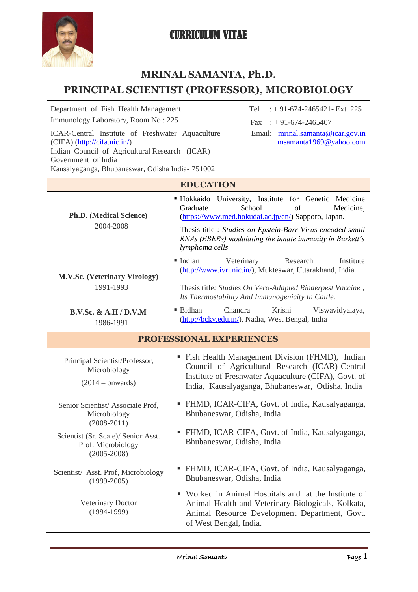

# **MRINAL SAMANTA, Ph.D.**

# **PRINCIPAL SCIENTIST (PROFESSOR), MICROBIOLOGY**

Immunology Laboratory, Room No :  $225$  Fax : +91-674-2465407 ICAR-Central Institute of Freshwater Aquaculture

(CIFA) [\(http://cifa.nic.in/\)](http://cifa.nic.in/) Indian Council of Agricultural Research (ICAR) Government of India Kausalyaganga, Bhubaneswar, Odisha India- 751002

Department of Fish Health Management Tel : + 91-674-2465421- Ext. 225

Email: [mrinal.samanta@icar.gov.in](mailto:mrinal.samanta@icar.gov.in) [msamanta1969@yahoo.com](mailto:msamanta1969@yahoo.com)

#### **EDUCATION Ph.D. (Medical Science)** 2004-2008 Hokkaido University, Institute for Genetic Medicine Graduate School of Medicine, [\(https://www.med.hokudai.ac.jp/en/\)](https://www.med.hokudai.ac.jp/en/) Sapporo, Japan. Thesis title *: Studies on Epstein-Barr Virus encoded small RNAs (EBERs) modulating the innate immunity in Burkett's lymphoma cells*  **M.V.Sc. (Veterinary Virology)** 1991-1993 Indian Veterinary Research Institute [\(http://www.ivri.nic.in/\)](http://www.ivri.nic.in/), Mukteswar, Uttarakhand, India. Thesis title*: Studies On Vero-Adapted Rinderpest Vaccine ; Its Thermostability And Immunogenicity In Cattle.* **B.V.Sc. & A.H / D.V.M** 1986-1991 Bidhan Chandra Krishi Viswavidyalaya, [\(http://bckv.edu.in/\)](http://bckv.edu.in/), Nadia, West Bengal, India

# **PROFESSIONAL EXPERIENCES**

| Principal Scientist/Professor,<br>Microbiology<br>$(2014 - onwards)$         | • Fish Health Management Division (FHMD), Indian<br>Council of Agricultural Research (ICAR)-Central<br>Institute of Freshwater Aquaculture (CIFA), Govt. of<br>India, Kausalyaganga, Bhubaneswar, Odisha, India |
|------------------------------------------------------------------------------|-----------------------------------------------------------------------------------------------------------------------------------------------------------------------------------------------------------------|
| Senior Scientist/Associate Prof.<br>Microbiology<br>$(2008 - 2011)$          | • FHMD, ICAR-CIFA, Govt. of India, Kausalyaganga,<br>Bhubaneswar, Odisha, India                                                                                                                                 |
| Scientist (Sr. Scale)/ Senior Asst.<br>Prof. Microbiology<br>$(2005 - 2008)$ | • FHMD, ICAR-CIFA, Govt. of India, Kausalyaganga,<br>Bhubaneswar, Odisha, India                                                                                                                                 |
| Scientist/ Asst. Prof, Microbiology<br>$(1999 - 2005)$                       | • FHMD, ICAR-CIFA, Govt. of India, Kausalyaganga,<br>Bhubaneswar, Odisha, India                                                                                                                                 |
| <b>Veterinary Doctor</b><br>$(1994-1999)$                                    | • Worked in Animal Hospitals and at the Institute of<br>Animal Health and Veterinary Biologicals, Kolkata,<br>Animal Resource Development Department, Govt.<br>of West Bengal, India.                           |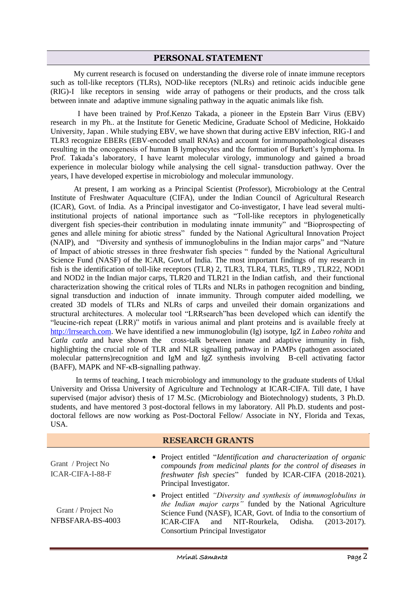#### **PERSONAL STATEMENT**

 My current research is focused on understanding the diverse role of innate immune receptors such as toll-like receptors (TLRs), NOD-like receptors (NLRs) and retinoic acids inducible gene (RIG)-I like receptors in sensing wide array of pathogens or their products, and the cross talk between innate and adaptive immune signaling pathway in the aquatic animals like fish.

 I have been trained by Prof.Kenzo Takada, a pioneer in the Epstein Barr Virus (EBV) research in my Ph.. at the Institute for Genetic Medicine, Graduate School of Medicine, Hokkaido University, Japan . While studying EBV, we have shown that during active EBV infection, RIG-I and TLR3 recognize EBERs (EBV-encoded small RNAs) and account for immunopathological diseases resulting in the oncogenesis of human B lymphocytes and the formation of Burkett's lymphoma. In Prof. Takada's laboratory, I have learnt molecular virology, immunology and gained a broad experience in molecular biology while analysing the cell signal- transduction pathway. Over the years, I have developed expertise in microbiology and molecular immunology.

 At present, I am working as a Principal Scientist (Professor), Microbiology at the Central Institute of Freshwater Aquaculture (CIFA), under the Indian Council of Agricultural Research (ICAR), Govt. of India. As a Principal investigator and Co-investigator, I have lead several multiinstitutional projects of national importance such as "Toll-like receptors in phylogenetically divergent fish species-their contribution in modulating innate immunity" and "Bioprospecting of genes and allele mining for abiotic stress" funded by the National Agricultural Innovation Project (NAIP), and "Diversity and synthesis of immunoglobulins in the Indian major carps" and "Nature of Impact of abiotic stresses in three freshwater fish species " funded by the National Agricultural Science Fund (NASF) of the ICAR, Govt.of India. The most important findings of my research in fish is the identification of toll-like receptors (TLR) 2, TLR3, TLR4, TLR5, TLR9 , TLR22, NOD1 and NOD2 in the Indian major carps, TLR20 and TLR21 in the Indian catfish, and their functional characterization showing the critical roles of TLRs and NLRs in pathogen recognition and binding, signal transduction and induction of innate immunity. Through computer aided modelling, we created 3D models of TLRs and NLRs of carps and unveiled their domain organizations and structural architectures. A molecular tool "LRRsearch"has been developed which can identify the "leucine-rich repeat (LRR)" motifs in various animal and plant proteins and is available freely at [http://lrrsearch.com.](http://lrrsearch.com/) We have identified a new immunoglobulin (Ig) isotype, IgZ in *Labeo rohita* and *Catla catla* and have shown the cross-talk between innate and adaptive immunity in fish, highlighting the crucial role of TLR and NLR signalling pathway in PAMPs (pathogen associated molecular patterns)recognition and IgM and IgZ synthesis involving B-cell activating factor (BAFF), MAPK and NF-κB-signalling pathway.

 In terms of teaching, I teach microbiology and immunology to the graduate students of Utkal University and Orissa University of Agriculture and Technology at ICAR-CIFA. Till date, I have supervised (major advisor) thesis of 17 M.Sc. (Microbiology and Biotechnology) students, 3 Ph.D. students, and have mentored 3 post-doctoral fellows in my laboratory. All Ph.D. students and postdoctoral fellows are now working as Post-Doctoral Fellow/ Associate in NY, Florida and Texas, USA.

#### **RESEARCH GRANTS**

| Grant / Project No<br>ICAR-CIFA-I-88-F | • Project entitled "Identification and characterization of organic<br>compounds from medicinal plants for the control of diseases in<br>freshwater fish species" funded by ICAR-CIFA (2018-2021).<br>Principal Investigator.                                                                                 |
|----------------------------------------|--------------------------------------------------------------------------------------------------------------------------------------------------------------------------------------------------------------------------------------------------------------------------------------------------------------|
| Grant / Project No<br>NFBSFARA-BS-4003 | • Project entitled "Diversity and synthesis of immunoglobulins in<br>the Indian major carps" funded by the National Agriculture<br>Science Fund (NASF), ICAR, Govt. of India to the consortium of<br>and NIT-Rourkela, Odisha.<br>ICAR-CIFA<br>$(2013 - 2017)$ .<br><b>Consortium Principal Investigator</b> |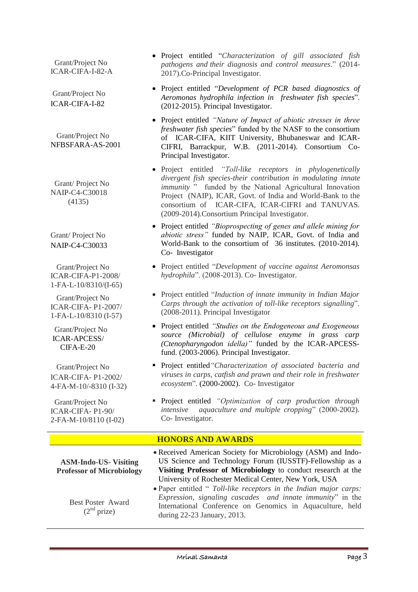Grant/Project No ICAR-CIFA-I**-**82-A

Grant/Project No ICAR-CIFA-I-82

 Grant/Project No NFBSFARA-AS-2001

 Grant/ Project No NAIP-C4-C30018 (4135)

Grant/ Project No NAIP-C4-C30033

 Grant/Project No ICAR-CIFA-P1-2008/ 1-FA-L-10/8310/(I-65)

 Grant/Project No ICAR-CIFA- P1-2007/ 1-FA-L-10/8310 (I-57)

 Grant/Project No ICAR-APCESS/ CIFA-E-20

 Grant/Project No ICAR-CIFA- P1-2002/ 4-FA-M-10/-8310 (I-32)

 Grant/Project No ICAR-CIFA- P1-90/ 2-FA-M-10/8110 (I-02)

- Project entitled "*Characterization of gill associated fish pathogens and their diagnosis and control measures*." (2014- 2017).Co-Principal Investigator.
- Project entitled "*Development of PCR based diagnostics of Aeromonas hydrophila infection in freshwater fish species*". (2012-2015). Principal Investigator.
- Project entitled *"Nature of Impact of abiotic stresses in three freshwater fish species*" funded by the NASF to the consortium of ICAR-CIFA, KIIT University, Bhubaneswar and ICAR-CIFRI, Barrackpur, W.B. (2011-2014). Consortium Co-Principal Investigator.
- Project entitled *"Toll-like receptors in phylogenetically divergent fish species-their contribution in modulating innate immunity* " funded by the National Agricultural Innovation Project (NAIP), ICAR, Govt. of India and World-Bank to the consortium of ICAR-CIFA, ICAR-CIFRI and TANUVAS. (2009-2014).Consortium Principal Investigator.
- Project entitled *"Bioprospecting of genes and allele mining for abiotic stress"* funded by NAIP, ICAR, Govt. of India and World-Bank to the consortium of 36 institutes. (2010-2014). Co- Investigator
- Project entitled "*Development of vaccine against Aeromonsas hydrophila*". (2008-2013). Co- Investigator.
- Project entitled "*Induction of innate immunity in Indian Major Carps through the activation of toll-like receptors signalling*". (2008-2011). Principal Investigator
- Project entitled *"Studies on the Endogeneous and Exogeneous source (Microbial) of cellulose enzyme in grass carp (Ctenopharyngodon idella)"* funded by the ICAR-APCESSfund. (2003-2006). Principal Investigator.
- Project entitled*"Characterization of associated bacteria and viruses in carps, catfish and prawn and their role in freshwater ecosystem*". (2000-2002). Co- Investigator
- Project entitled *"Optimization of carp production through intensive aquaculture and multiple cropping*" (2000-2002). Co- Investigator.

## **HONORS AND AWARDS**

**ASM-Indo-US- Visiting Professor of Microbiology**

- Best Poster Award  $(2<sup>nd</sup> prize)$
- Received American Society for Microbiology (ASM) and Indo-US Science and Technology Forum (IUSSTF)-Fellowship as a **Visiting Professor of Microbiology** to conduct research at the University of Rochester Medical Center, New York, USA
- Paper entitled " *Toll-like receptors in the Indian major carps: Expression, signaling cascades and innate immunity*" in the International Conference on Genomics in Aquaculture, held during 22-23 January, 2013.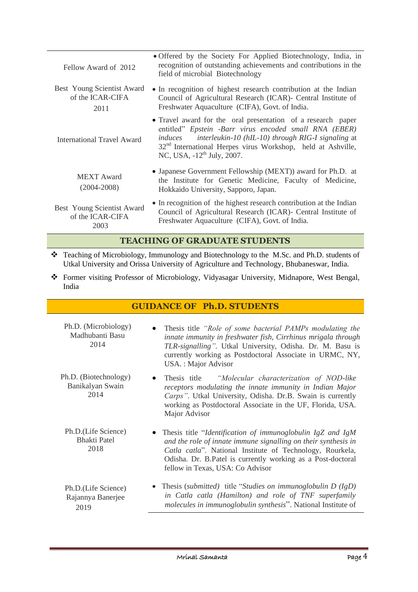| Fellow Award of 2012                                   | • Offered by the Society For Applied Biotechnology, India, in<br>recognition of outstanding achievements and contributions in the<br>field of microbial Biotechnology                                                                                                                                        |  |  |  |  |
|--------------------------------------------------------|--------------------------------------------------------------------------------------------------------------------------------------------------------------------------------------------------------------------------------------------------------------------------------------------------------------|--|--|--|--|
| Best Young Scientist Award<br>of the ICAR-CIFA<br>2011 | • In recognition of highest research contribution at the Indian<br>Council of Agricultural Research (ICAR)- Central Institute of<br>Freshwater Aquaculture (CIFA), Govt. of India.                                                                                                                           |  |  |  |  |
| <b>International Travel Award</b>                      | • Travel award for the oral presentation of a research paper<br>entitled" Epstein -Barr virus encoded small RNA (EBER)<br>interleukin-10 (hIL-10) through RIG-I signaling at<br>induces<br>32 <sup>nd</sup> International Herpes virus Workshop, held at Ashville,<br>NC, USA, -12 <sup>th</sup> July, 2007. |  |  |  |  |
| MEXT Award<br>$(2004 - 2008)$                          | • Japanese Government Fellowship (MEXT)) award for Ph.D. at<br>the Institute for Genetic Medicine, Faculty of Medicine,<br>Hokkaido University, Sapporo, Japan.                                                                                                                                              |  |  |  |  |
| Best Young Scientist Award<br>of the ICAR-CIFA<br>2003 | • In recognition of the highest research contribution at the Indian<br>Council of Agricultural Research (ICAR)- Central Institute of<br>Freshwater Aquaculture (CIFA), Govt. of India.                                                                                                                       |  |  |  |  |

## **TEACHING OF GRADUATE STUDENTS**

- Teaching of Microbiology, Immunology and Biotechnology to the M.Sc. and Ph.D. students of Utkal University and Orissa University of Agriculture and Technology, Bhubaneswar, India.
- Former visiting Professor of Microbiology, Vidyasagar University, Midnapore, West Bengal, India

# **GUIDANCE OF Ph.D. STUDENTS**

| Ph.D. (Microbiology)<br>Madhubanti Basu<br>2014    | Thesis title "Role of some bacterial PAMPs modulating the<br>innate immunity in freshwater fish, Cirrhinus mrigala through<br>TLR-signalling". Utkal University, Odisha. Dr. M. Basu is<br>currently working as Postdoctoral Associate in URMC, NY,<br>USA.: Major Advisor                   |
|----------------------------------------------------|----------------------------------------------------------------------------------------------------------------------------------------------------------------------------------------------------------------------------------------------------------------------------------------------|
| Ph.D. (Biotechnology)<br>Banikalyan Swain<br>2014  | Thesis title <i>"Molecular characterization of NOD-like</i><br>receptors modulating the innate immunity in Indian Major<br>Carps". Utkal University, Odisha. Dr.B. Swain is currently<br>working as Postdoctoral Associate in the UF, Florida, USA.<br>Major Advisor                         |
| Ph.D.(Life Science)<br><b>Bhakti Patel</b><br>2018 | Thesis title "Identification of immunoglobulin IgZ and IgM<br>and the role of innate immune signalling on their synthesis in<br>Catla catla". National Institute of Technology, Rourkela,<br>Odisha. Dr. B.Patel is currently working as a Post-doctoral<br>fellow in Texas, USA: Co Advisor |
| Ph.D.(Life Science)<br>Rajannya Banerjee<br>2019   | • Thesis (submitted) title "Studies on immunoglobulin $D( IgD)$<br>in Catla catla (Hamilton) and role of TNF superfamily<br>molecules in immunoglobulin synthesis". National Institute of                                                                                                    |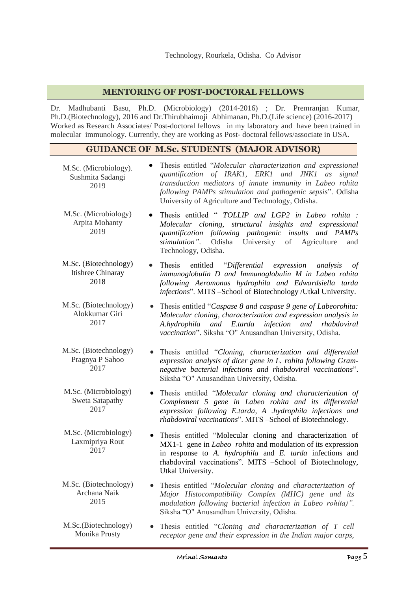## **MENTORING OF POST-DOCTORAL FELLOWS**

Dr. Madhubanti Basu, Ph.D. (Microbiology) (2014-2016) ; Dr. Premranjan Kumar, Ph.D.(Biotechnology), 2016 and Dr.Thirubhaimoji Abhimanan, Ph.D.(Life science) (2016-2017) Worked as Research Associates/ Post-doctoral fellows in my laboratory and have been trained in molecular immunology. Currently, they are working as Post- doctoral fellows/associate in USA.

# **GUIDANCE OF M.Sc. STUDENTS (MAJOR ADVISOR)**

| M.Sc. (Microbiology).<br>Sushmita Sadangi<br>2019  | Thesis entitled "Molecular characterization and expressional<br>quantification of IRAK1, ERK1 and JNK1 as<br>signal<br>transduction mediators of innate immunity in Labeo rohita<br>following PAMPs stimulation and pathogenic sepsis". Odisha<br>University of Agriculture and Technology, Odisha. |
|----------------------------------------------------|-----------------------------------------------------------------------------------------------------------------------------------------------------------------------------------------------------------------------------------------------------------------------------------------------------|
| M.Sc. (Microbiology)<br>Arpita Mohanty<br>2019     | Thesis entitled " TOLLIP and LGP2 in Labeo rohita :<br>$\bullet$<br>Molecular cloning, structural insights and expressional<br>quantification following pathogenic insults and PAMPs<br>stimulation". Odisha University of Agriculture<br>and<br>Technology, Odisha.                                |
| M.Sc. (Biotechnology)<br>Itishree Chinaray<br>2018 | Thesis<br>entitled<br>"Differential expression<br>analysis<br>οf<br>immunoglobulin D and Immunoglobulin M in Labeo rohita<br>following Aeromonas hydrophila and Edwardsiella tarda<br>infections". MITS -School of Biotechnology /Utkal University.                                                 |
| M.Sc. (Biotechnology)<br>Alokkumar Giri<br>2017    | Thesis entitled "Caspase 8 and caspase 9 gene of Labeorohita:<br>Molecular cloning, characterization and expression analysis in<br>A.hydrophila<br>and E.tarda<br>infection<br>and<br>rhabdoviral<br>vaccination". Siksha "O" Anusandhan University, Odisha.                                        |
| M.Sc. (Biotechnology)<br>Pragnya P Sahoo<br>2017   | Thesis entitled "Cloning, characterization and differential<br>expression analysis of dicer gene in L. rohita following Gram-<br>negative bacterial infections and rhabdoviral vaccinations".<br>Siksha "O" Anusandhan University, Odisha.                                                          |
| M.Sc. (Microbiology)<br>Sweta Satapathy<br>2017    | • Thesis entitled "Molecular cloning and characterization of<br>Complement 5 gene in Labeo rohita and its differential<br>expression following E.tarda, A .hydrophila infections and<br>rhabdoviral vaccinations". MITS -School of Biotechnology.                                                   |
| M.Sc. (Microbiology)<br>Laxmipriya Rout<br>2017    | Thesis entitled "Molecular cloning and characterization of<br>MX1-1 gene in Labeo rohita and modulation of its expression<br>in response to A. hydrophila and E. tarda infections and<br>rhabdoviral vaccinations". MITS -School of Biotechnology,<br>Utkal University.                             |
| M.Sc. (Biotechnology)<br>Archana Naik<br>2015      | Thesis entitled "Molecular cloning and characterization of<br>Major Histocompatibility Complex (MHC) gene and its<br>modulation following bacterial infection in Labeo rohita)".<br>Siksha "O" Anusandhan University, Odisha.                                                                       |
| M.Sc.(Biotechnology)<br>Monika Prusty              | Thesis entitled "Cloning and characterization of T cell<br>receptor gene and their expression in the Indian major carps,                                                                                                                                                                            |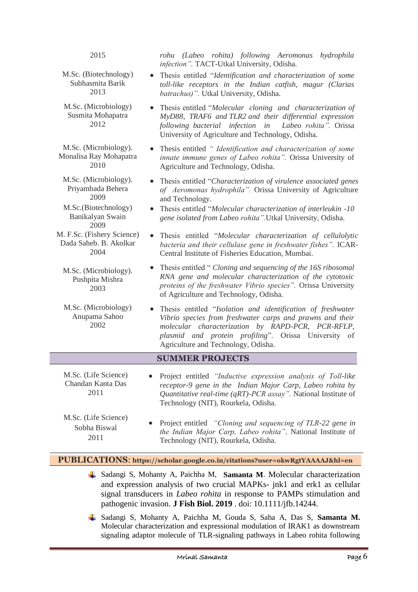| 2015                                                                                           | rohu (Labeo rohita) following Aeromonas hydrophila<br>infection". TACT-Utkal University, Odisha.                                                                                                                                                                                  |  |  |  |  |  |
|------------------------------------------------------------------------------------------------|-----------------------------------------------------------------------------------------------------------------------------------------------------------------------------------------------------------------------------------------------------------------------------------|--|--|--|--|--|
| M.Sc. (Biotechnology)<br>Subhasmita Barik<br>2013                                              | • Thesis entitled "Identification and characterization of some<br>toll-like receptors in the Indian catfish, magur (Clarias<br>batrachus)". Utkal University, Odisha.                                                                                                             |  |  |  |  |  |
| M.Sc. (Microbiology)<br>Susmita Mohapatra<br>2012                                              | Thesis entitled "Molecular cloning and characterization of<br>MyD88, TRAF6 and TLR2 and their differential expression<br>following bacterial infection in Labeo rohita". Orissa<br>University of Agriculture and Technology, Odisha.                                              |  |  |  |  |  |
| M.Sc. (Microbiology).<br>Monalisa Ray Mohapatra<br>2010                                        | Thesis entitled "Identification and characterization of some<br>innate immune genes of Labeo rohita". Orissa University of<br>Agriculture and Technology, Odisha.                                                                                                                 |  |  |  |  |  |
| M.Sc. (Microbiology).<br>Priyambada Behera<br>2009<br>M.Sc.(Biotechnology)<br>Banikalyan Swain | Thesis entitled "Characterization of virulence associated genes<br>of Aeromonas hydrophila". Orissa University of Agriculture<br>and Technology.<br>Thesis entitled "Molecular characterization of interleukin -10<br>gene isolated from Labeo rohita". Utkal University, Odisha. |  |  |  |  |  |
| 2009<br>M. F.Sc. (Fishery Science)<br>Dada Saheb. B. Akolkar<br>2004                           | Thesis entitled "Molecular characterization of cellulolytic<br>bacteria and their cellulase gene in freshwater fishes". ICAR-<br>Central Institute of Fisheries Education, Mumbai.                                                                                                |  |  |  |  |  |
| M.Sc. (Microbiology).<br>Pushpita Mishra<br>2003                                               | Thesis entitled "Cloning and sequencing of the 16S ribosomal<br>RNA gene and molecular characterization of the cytotoxic<br>proteins of the freshwater Vibrio species". Orissa University<br>of Agriculture and Technology, Odisha.                                               |  |  |  |  |  |
| M.Sc. (Microbiology)<br>Anupama Sahoo<br>2002                                                  | Thesis entitled "Isolation and identification of freshwater<br>Vibrio species from freshwater carps and prawns and their<br>molecular characterization by RAPD-PCR, PCR-RFLP,<br>plasmid and protein profiling". Orissa University of<br>Agriculture and Technology, Odisha.      |  |  |  |  |  |
| <b>SUMMER PROJECTS</b>                                                                         |                                                                                                                                                                                                                                                                                   |  |  |  |  |  |
| M.Sc. (Life Science)<br>Chandan Kanta Das<br>2011                                              | Project entitled "Inductive expression analysis of Toll-like<br>receptor-9 gene in the Indian Major Carp, Labeo rohita by<br>Quantitative real-time (qRT)-PCR assay". National Institute of<br>Technology (NIT), Rourkela, Odisha.                                                |  |  |  |  |  |
| M.Sc. (Life Science)<br>Sobha Biswal<br>2011                                                   | Project entitled "Cloning and sequencing of TLR-22 gene in<br>the Indian Major Carp, Labeo rohita". National Institute of<br>Technology (NIT), Rourkela, Odisha.                                                                                                                  |  |  |  |  |  |

#### **PUBLICATIONS**: **https://scholar.google.co.in/citations?user=okwRgtYAAAAJ&hl=en**

- Sadangi S, Mohanty A, Paichha M, **Samanta M**. Molecular characterization and expression analysis of two crucial MAPKs- jnk1 and erk1 as cellular signal transducers in *Labeo rohita* in response to PAMPs stimulation and pathogenic invasion. **J Fish Biol. 2019** . doi: 10.1111/jfb.14244.
- Sadangi S, Mohanty A, Paichha M, Gouda S, Saha A, Das S, **Samanta M.** Molecular characterization and expressional modulation of IRAK1 as downstream signaling adaptor molecule of TLR-signaling pathways in Labeo rohita following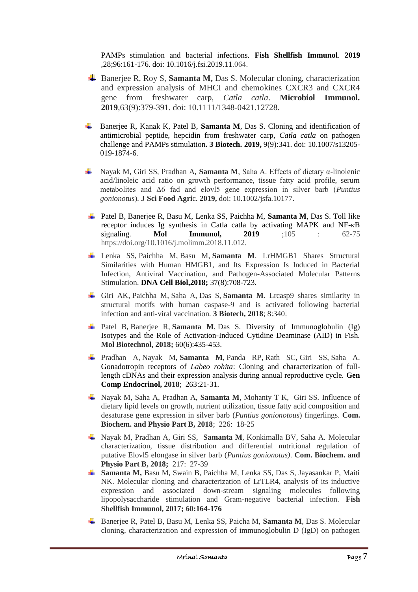PAMPs stimulation and bacterial infections. **Fish Shellfish Immunol**. **2019** ,28;96:161-176. doi: 10.1016/j.fsi.2019.11.064.

- $\blacktriangle$  Banerjee R, Roy S, Samanta M, Das S. Molecular cloning, characterization and expression analysis of MHCI and chemokines CXCR3 and CXCR4 gene from freshwater carp, *Catla catla*. **Microbiol Immunol. 2019**,63(9):379-391. doi: 10.1111/1348-0421.12728.
- Banerjee R, Kanak K, Patel B, **Samanta M**, Das S. Cloning and identification of antimicrobial peptide, hepcidin from freshwater carp, *Catla catla* on pathogen challenge and PAMPs stimulation**. 3 Biotech. 2019,** 9(9):341. doi: 10.1007/s13205- 019-1874-6.
- Nayak M, Giri SS, Pradhan A, **Samanta M**, Saha A. Effects of dietary α-linolenic acid/linoleic acid ratio on growth performance, tissue fatty acid profile, serum metabolites and Δ6 fad and elovl5 gene expression in silver barb (*Puntius gonionotus*). **J Sci Food Agri**c. **2019,** doi: 10.1002/jsfa.10177.
- Patel B, Banerjee R, Basu M, Lenka SS, Paichha M, **Samanta M**, Das S. Toll like receptor induces Ig synthesis in Catla catla by activating MAPK and NF-κB signaling. **Mol Immunol, 2019** ;105 : 62-75 https://doi.org/10.1016/j.molimm.2018.11.012.
- Lenka SS, Paichha M, Basu M, **Samanta M**. LrHMGB1 Shares Structural Similarities with Human HMGB1, and Its Expression Is Induced in Bacterial Infection, Antiviral Vaccination, and Pathogen-Associated Molecular Patterns Stimulation. **DNA Cell Biol,2018;** 37(8):708-723.
- Giri AK, Paichha M, Saha A, Das S, **Samanta M**. Lrcasp9 shares similarity in structural motifs with human caspase-9 and is activated following bacterial infection and anti-viral vaccination. **3 Biotech, 2018**; 8:340.
- Patel B, Banerjee R, **Samanta M**, Das S. Diversity of Immunoglobulin (Ig) Isotypes and the Role of Activation-Induced Cytidine Deaminase (AID) in Fish. **Mol Biotechnol, 2018;** 60(6):435-453.
- Pradhan A, Nayak M, **Samanta M**, Panda RP, Rath SC, Giri SS, Saha A. Gonadotropin receptors of *Labeo rohita*: Cloning and characterization of fulllength cDNAs and their expression analysis during annual reproductive cycle. **Gen Comp Endocrinol, 2018**; 263:21-31.
- Nayak M, Saha A, Pradhan A, **Samanta M**, Mohanty T K, Giri SS. Influence of dietary lipid levels on growth, nutrient utilization, tissue fatty acid composition and desaturase gene expression in silver barb (*Puntius gonionotous*) fingerlings. **Com. Biochem. and Physio Part B, 2018**; 226: 18-25
- Nayak M, Pradhan A, Giri SS, **Samanta M**, Konkimalla BV, Saha A. [Molecular](https://www.sciencedirect.com/science/article/pii/S1096495917301938)  [characterization, tissue distribution and differential nutritional regulation of](https://www.sciencedirect.com/science/article/pii/S1096495917301938)  [putative Elovl5 elongase in silver barb \(](https://www.sciencedirect.com/science/article/pii/S1096495917301938)*Puntius gonionotus)*. **Com. Biochem. and Physio Part B, 2018;** 217: 27-39
- **Samanta M,** Basu M, Swain B, Paichha M, Lenka SS, Das S, Jayasankar P, Maiti NK. Molecular cloning and characterization of LrTLR4, analysis of its inductive expression and associated down-stream signaling molecules following lipopolysaccharide stimulation and Gram-negative bacterial infection. **Fish Shellfish Immunol, 2017; 60:164-176**
- Banerjee R, Patel B, Basu M, Lenka SS, Paicha M, **Samanta M**, Das S. Molecular cloning, characterization and expression of immunoglobulin D (IgD) on pathogen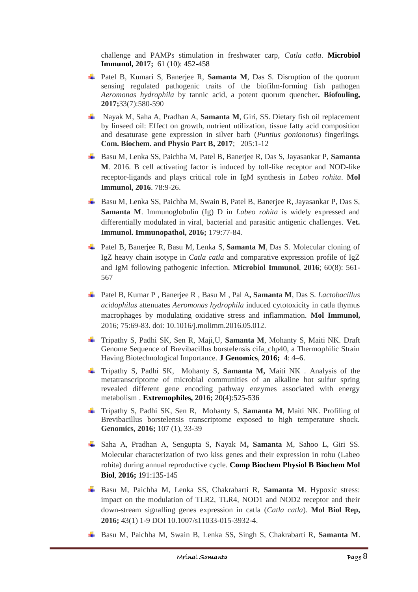challenge and PAMPs stimulation in freshwater carp, *Catla catla*. **Microbiol Immunol, 2017;** 61 (10): 452-458

- Patel B, Kumari S, Banerjee R, **Samanta M**, Das S. Disruption of the quorum sensing regulated pathogenic traits of the biofilm-forming fish pathogen *Aeromonas hydrophila* by tannic acid, a potent quorum quencher**. Biofouling, 2017;**33(7):580-590
- Nayak M, Saha A, Pradhan A, **Samanta M**, Giri, SS. Dietary fish oil replacement by linseed oil: Effect on growth, nutrient utilization, tissue fatty acid composition and desaturase gene expression in silver barb (*Puntius gonionotus*) fingerlings. **Com. Biochem. and Physio Part B, 2017**; 205:1-12
- Basu M, Lenka SS, Paichha M, Patel B, Banerjee R, Das S, Jayasankar P, **Samanta M**. 2016. B cell activating factor is induced by toll-like receptor and NOD-like receptor-ligands and plays critical role in IgM synthesis in *Labeo rohita*. **Mol Immunol, 2016**. 78:9-26.
- Basu M, Lenka SS, Paichha M, Swain B, Patel B, Banerjee R, Jayasankar P, Das S, **Samanta M**. Immunoglobulin (Ig) D in *Labeo rohita* is widely expressed and differentially modulated in viral, bacterial and parasitic antigenic challenges. **Vet. Immunol. Immunopathol, 2016;** 179:77-84.
- Patel B, Banerjee R, Basu M, Lenka S, **Samanta M**, Das S. Molecular cloning of IgZ heavy chain isotype in *Catla catla* and comparative expression profile of IgZ and IgM following pathogenic infection. **Microbiol Immunol**, **2016**; 60(8): 561- 567
- Patel B, Kumar P , Banerjee R , Basu M , Pal A**, Samanta M**, Das S. *Lactobacillus acidophilus* attenuates *Aeromonas hydrophila* induced cytotoxicity in catla thymus macrophages by modulating oxidative stress and inflammation. **Mol Immunol,** 2016; 75:69-83. doi: 10.1016/j.molimm.2016.05.012.
- Tripathy S, Padhi SK, Sen R, Maji,U, **Samanta M**, Mohanty S, Maiti NK. Draft Genome Sequence of Brevibacillus borstelensis cifa\_chp40, a Thermophilic Strain Having Biotechnological Importance. **J Genomics**, **2016;** 4: 4–6.
- Tripathy S, Padhi SK, Mohanty S, **Samanta M,** Maiti NK . Analysis of the metatranscriptome of microbial communities of an alkaline hot sulfur spring revealed different gene encoding pathway enzymes associated with energy metabolism . **Extremophiles, 2016;** 20(4):525-536
- Tripathy S, Padhi SK, Sen R, Mohanty S, **Samanta M**, Maiti NK. Profiling of Brevibacillus borstelensis transcriptome exposed to high temperature shock. **Genomics, 2016;** 107 (1), 33-39
- Saha A, Pradhan A, Sengupta S, Nayak M**, Samanta** M, Sahoo L, Giri SS. Molecular characterization of two kiss genes and their expression in rohu (Labeo rohita) during annual reproductive cycle. **Comp Biochem Physiol B Biochem Mol Biol**, **2016;** 191:135-145
- Basu M, Paichha M, Lenka SS, Chakrabarti R, **Samanta M**. Hypoxic stress: impact on the modulation of TLR2, TLR4, NOD1 and NOD2 receptor and their down-stream signalling genes expression in catla (*Catla catla*). **Mol Biol Rep, 2016;** 43(1) 1-9 DOI 10.1007/s11033-015-3932-4.
- Basu M, Paichha M, Swain B, Lenka SS, Singh S, Chakrabarti R, **Samanta M**.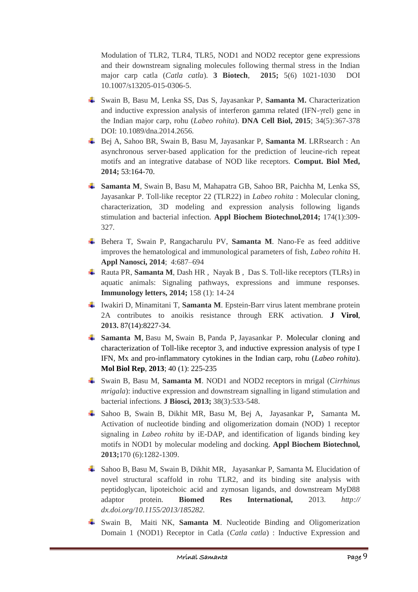Modulation of TLR2, TLR4, TLR5, NOD1 and NOD2 receptor gene expressions and their downstream signaling molecules following thermal stress in the Indian major carp catla (*Catla catla*). **3 Biotech**, **2015;** 5(6) 1021-1030 DOI 10.1007/s13205-015-0306-5.

- Swain B, Basu M, Lenka SS, Das S, Jayasankar P, **Samanta M.** Characterization and inductive expression analysis of interferon gamma related (IFN-γrel) gene in the Indian major carp, rohu (*Labeo rohita*). **DNA Cell Biol, 2015**; 34(5):367-378 DOI: 10.1089/dna.2014.2656.
- Bej A, Sahoo BR, Swain B, Basu M, Jayasankar P, **Samanta M**. LRRsearch : An asynchronous server-based application for the prediction of leucine-rich repeat motifs and an integrative database of NOD like receptors. **Comput. Biol Med, 2014;** 53:164-70.
- **Samanta M**, Swain B, Basu M, Mahapatra GB, Sahoo BR, Paichha M, Lenka SS, Jayasankar P. Toll-like receptor 22 (TLR22) in *Labeo rohita* : Molecular cloning, characterization, 3D modeling and expression analysis following ligands stimulation and bacterial infection. **Appl Biochem Biotechnol***,***2014;** 174(1):309- 327.
- Behera T, Swain P, Rangacharulu PV, **Samanta M**. Nano-Fe as feed additive improves the hematological and immunological parameters of fish, *Labeo rohita* H. **Appl Nanosci, 2014**; 4:687–694
- Rauta PR, **Samanta M**, Dash HR , Nayak B , Das S. Toll-like receptors (TLRs) in aquatic animals: Signaling pathways, expressions and immune responses. **Immunology letters, 2014;** 158 (1): 14-24
- Iwakiri D, Minamitani T, **Samanta M**. Epstein-Barr virus latent membrane protein 2A contributes to anoikis resistance through ERK activation. **J Virol**, **2013.** 87(14):8227-34.
- **Samanta M**, Basu M, Swain B, Panda P, Jayasankar P. Molecular cloning and characterization of Toll-like receptor 3, and inductive expression analysis of type I IFN, Mx and pro-inflammatory cytokines in the Indian carp, rohu (*Labeo rohita*). **Mol Biol Rep**, **2013**; 40 (1): 225-235
- Swain B, Basu M, **Samanta M**. NOD1 and NOD2 receptors in mrigal (*Cirrhinus mrigala*): inductive expression and downstream signalling in ligand stimulation and bacterial infections. **J Biosci, 2013;** 38(3):533-548.
- Sahoo B, Swain B, Dikhit MR, Basu M, Bej A, Jayasankar P*,* Samanta M**.** Activation of nucleotide binding and oligomerization domain (NOD) 1 receptor signaling in *Labeo rohita* by iE-DAP, and identification of ligands binding key motifs in NOD1 by molecular modeling and docking. **Appl Biochem Biotechnol***,*  **2013;**170 (6):1282-1309.
- Sahoo B, Basu M, Swain B, Dikhit MR, Jayasankar P, Samanta M*.* Elucidation of novel structural scaffold in rohu TLR2, and its binding site analysis with peptidoglycan, lipoteichoic acid and zymosan ligands, and downstream MyD88 adaptor protein. **Biomed Res International,** 2013. *[http://](http://dx.doi.org/10.1155/2013/185282)  [dx.doi.org/10.1155/2013/185282.](http://dx.doi.org/10.1155/2013/185282)*
- Swain B, Maiti NK, **Samanta M**. Nucleotide Binding and Oligomerization Domain 1 (NOD1) Receptor in Catla (*Catla catla*) : Inductive Expression and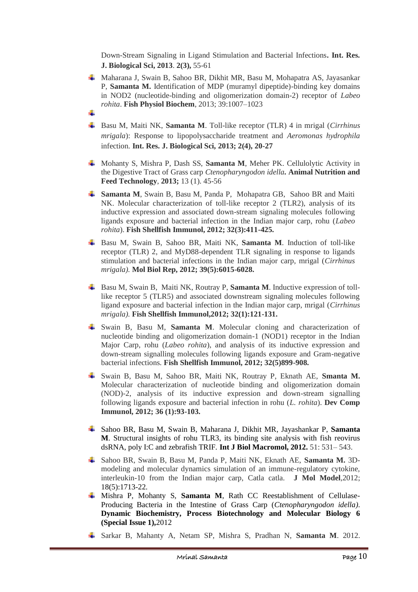Down-Stream Signaling in Ligand Stimulation and Bacterial Infections**. Int. Res. J. Biological Sci, 2013**. **2(3),** 55-61

- Maharana J, Swain B, Sahoo BR, Dikhit MR, Basu M, Mohapatra AS, Jayasankar P, **Samanta M.** Identification of MDP (muramyl dipeptide)-binding key domains in NOD2 (nucleotide-binding and oligomerization domain-2) receptor of *Labeo rohita*. **Fish Physiol Biochem**, 2013; 39:1007–1023 d.
- Basu M, Maiti NK, **Samanta M**. Toll-like receptor (TLR) 4 in mrigal (*Cirrhinus mrigala*): Response to lipopolysaccharide treatment and *Aeromonas hydrophila*  infection. **Int. Res. J. Biological Sci, 2013; 2(4), 20-27**
- Mohanty S, Mishra P, Dash SS, **Samanta M**, Meher PK. Cellulolytic Activity in the Digestive Tract of Grass carp *Ctenopharyngodon idella.* **Animal Nutrition and Feed Technology**, **2013;** 13 (1). 45-56
- **Samanta M**, Swain B, Basu M, Panda P, Mohapatra GB, Sahoo BR and Maiti NK. Molecular characterization of toll-like receptor 2 (TLR2), analysis of its inductive expression and associated down-stream signaling molecules following ligands exposure and bacterial infection in the Indian major carp, rohu (*Labeo rohita*). **Fish Shellfish Immunol, 2012; 32(3):411-425.**
- Basu M, Swain B, Sahoo BR, Maiti NK, **Samanta M**. Induction of toll-like receptor (TLR) 2, and MyD88-dependent TLR signaling in response to ligands stimulation and bacterial infections in the Indian major carp, mrigal (*Cirrhinus mrigala).* **Mol Biol Rep, 2012; 39(5):6015-6028.**
- Basu M, Swain B, Maiti NK, Routray P, **Samanta M**. Inductive expression of tolllike receptor 5 (TLR5) and associated downstream signaling molecules following ligand exposure and bacterial infection in the Indian major carp, mrigal (*Cirrhinus mrigala).* **Fish Shellfish Immunol,2012; 32(1):121-131.**
- Swain B, Basu M, **Samanta M**. Molecular cloning and characterization of nucleotide binding and oligomerization domain-1 (NOD1) receptor in the Indian Major Carp, rohu (*Labeo rohita*), and analysis of its inductive expression and down-stream signalling molecules following ligands exposure and Gram-negative bacterial infections. **Fish Shellfish Immunol, 2012; 32(5)899-908.**
- Swain B, Basu M, Sahoo BR, Maiti NK, Routray P, Eknath AE, **Smanta M.**  Molecular characterization of nucleotide binding and oligomerization domain (NOD)-2, analysis of its inductive expression and down-stream signalling following ligands exposure and bacterial infection in rohu (*L. rohita*). **Dev Comp Immunol, 2012; 36 (1):93-103.**
- Sahoo BR, [Basu M,](http://www.ncbi.nlm.nih.gov/pubmed?term=Basu%20M%5BAuthor%5D&cauthor=true&cauthor_uid=22705475) [Swain B,](http://www.ncbi.nlm.nih.gov/pubmed?term=Swain%20B%5BAuthor%5D&cauthor=true&cauthor_uid=22705475) [Maharana J,](http://www.ncbi.nlm.nih.gov/pubmed?term=Maharana%20J%5BAuthor%5D&cauthor=true&cauthor_uid=22705475) [Dikhit MR,](http://www.ncbi.nlm.nih.gov/pubmed?term=Dikhit%20MR%5BAuthor%5D&cauthor=true&cauthor_uid=22705475) [Jayashankar P,](http://www.ncbi.nlm.nih.gov/pubmed?term=Jayashankar%20P%5BAuthor%5D&cauthor=true&cauthor_uid=22705475) **[Samanta](http://www.ncbi.nlm.nih.gov/pubmed?term=Samanta%20M%5BAuthor%5D&cauthor=true&cauthor_uid=22705475)  [M](http://www.ncbi.nlm.nih.gov/pubmed?term=Samanta%20M%5BAuthor%5D&cauthor=true&cauthor_uid=22705475)**. Structural insights of rohu TLR3, its binding site analysis with fish reovirus dsRNA, poly I:C and zebrafish TRIF. **Int J Biol Macromol, 2012.** 51: 531– 543.
- Sahoo BR, Swain B, Basu M, Panda P, Maiti NK, Eknath AE, **Samanta M.** 3Dmodeling and molecular dynamics simulation of an immune-regulatory cytokine, interleukin-10 from the Indian major carp, Catla catla. **J Mol Model**,2012; 18(5):1713-22.
- Mishra P, Mohanty S, **Samanta M**, Rath CC Reestablishment of Cellulase-Producing Bacteria in the Intestine of Grass Carp (*Ctenopharyngodon idella).* **Dynamic Biochemistry, Process Biotechnology and Molecular Biology 6 (Special Issue 1),**2012
- Sarkar B, Mahanty A, Netam SP, Mishra S, Pradhan N, **Samanta M**. 2012.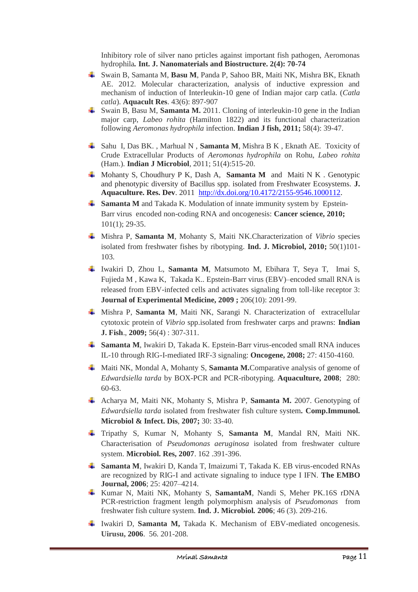Inhibitory role of silver nano prticles against important fish pathogen, Aeromonas hydrophila*.* **Int. J. Nanomaterials and Biostructure. 2(4): 70-74**

- Swain B, Samanta M, **Basu M**, Panda P, Sahoo BR, Maiti NK, Mishra BK, Eknath AE. 2012. Molecular characterization, analysis of inductive expression and mechanism of induction of Interleukin-10 gene of Indian major carp catla. (*Catla catla*). **Aquacult Res**. 43(6): 897-907
- Swain B, Basu M, **Samanta M.** 2011. Cloning of interleukin-10 gene in the Indian major carp, *Labeo rohita* (Hamilton 1822) and its functional characterization following *Aeromonas hydrophila* infection. **Indian J fish, 2011;** 58(4): 39-47.
- Sahu I, Das BK. , Marhual N , **Samanta M**, Mishra B K , Eknath AE. Toxicity of Crude Extracellular Products of *Aeromonas hydrophila* on Rohu, *Labeo rohita* (Ham.). **Indian J Microbiol**, 2011; 51(4):515-20.
- Mohanty S, Choudhury P K, Dash A, **Samanta M** and Maiti N K . Genotypic and phenotypic diversity of Bacillus spp. isolated from Freshwater Ecosystems. **J. Aquaculture. Res. Dev**. 2011 http://dx.doi.org/10.4172/2155-9546.1000112.
- **Samanta M** and Takada K. Modulation of innate immunity system by Epstein-Barr virus encoded non-coding RNA and oncogenesis: **Cancer science, 2010;** 101(1); 29-35.
- Mishra P, **Samanta M**, Mohanty S, Maiti NK.Characterization of *Vibrio* species isolated from freshwater fishes by ribotyping. **Ind. J. Microbiol, 2010;** 50(1)101- 103.
- Iwakiri D, Zhou L, **Samanta M**, Matsumoto M, Ebihara T, Seya T, Imai S, Fujieda M , Kawa K, Takada K.. Epstein-Barr virus (EBV)–encoded small RNA is released from EBV-infected cells and activates signaling from toll-like receptor 3: **Journal of Experimental Medicine, 2009 ;** 206(10): 2091-99.
- Mishra P, **Samanta M**, Maiti NK, Sarangi N. Characterization of extracellular cytotoxic protein of *Vibrio* spp.isolated from freshwater carps and prawns: **Indian J. Fish**., **2009;** 56(4) : 307-311.
- **Samanta M**, Iwakiri D, Takada K. Epstein-Barr virus-encoded small RNA induces IL-10 through RIG-I-mediated IRF-3 signaling: **Oncogene, 2008;** 27: 4150-4160.
- Maiti NK, Mondal A, Mohanty S, **Samanta M.**Comparative analysis of genome of *Edwardsiella tarda* by BOX-PCR and PCR-ribotyping. **Aquaculture, 2008**; 280: 60-63.
- Acharya M, Maiti NK, Mohanty S, Mishra P, **Samanta M.** 2007. Genotyping of *Edwardsiella tarda* isolated from freshwater fish culture system*.* **Comp.Immunol. Microbiol & Infect. Dis**, **2007;** 30: 33-40.
- Tripathy S, Kumar N, Mohanty S, **Samanta M**, Mandal RN, Maiti NK. Characterisation of *Pseudomonas aeruginosa* isolated from freshwater culture system. **Microbiol. Res, 2007**. 162 .391-396.
- **Samanta M**, Iwakiri D, Kanda T, Imaizumi T, Takada K. EB virus-encoded RNAs are recognized by RIG-I and activate signaling to induce type I IFN. **The EMBO Journal, 2006**; 25: 4207–4214.
- Kumar N, Maiti NK, Mohanty S, **SamantaM**, Nandi S, Meher PK.16S rDNA PCR-restriction fragment length polymorphism analysis of *Pseudomonas* from freshwater fish culture system. **Ind. J. Microbiol***.* **2006**; 46 (3). 209-216.
- Iwakiri D, **Samanta M,** Takada K. Mechanism of EBV-mediated oncogenesis. **Uirusu, 2006**. 56. 201-208.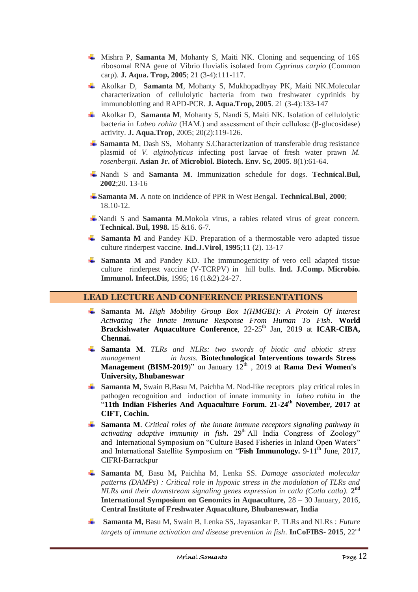- Mishra P, **Samanta M**, Mohanty S, Maiti NK. Cloning and sequencing of 16S ribosomal RNA gene of Vibrio fluvialis isolated from *Cyprinus carpio* (Common carp). **J. Aqua. Trop, 2005**; 21 (3-4):111-117.
- Akolkar D, **Samanta M**, Mohanty S, Mukhopadhyay PK, Maiti NK.Molecular characterization of cellulolytic bacteria from two freshwater cyprinids by immunoblotting and RAPD-PCR. **J. Aqua.Trop, 2005**. 21 (3-4):133-147
- Akolkar D, **Samanta M**, Mohanty S, Nandi S, Maiti NK. Isolation of cellulolytic bacteria in *Labeo rohita* (HAM.) and assessment of their cellulose (β-glucosidase) activity. **J. Aqua.Trop***,* 2005; 20(2):119-126.
- $\frac{1}{\sqrt{2}}$  **Samanta M, Dash SS, Mohanty S. Characterization of transferable drug resistance** plasmid of *V. alginolyticus* infecting post larvae of fresh water prawn *M. rosenbergii.* **Asian Jr. of Microbiol. Biotech. Env. Sc, 2005**. 8(1):61-64.
- Nandi S and **Samanta M**. Immunization schedule for dogs. **Technical.Bul, 2002**;20. 13-16
- **Samanta M.** A note on incidence of PPR in West Bengal. **Technical.Bul**, **2000**; 18.10-12.
- Nandi S and **Samanta M**.Mokola virus, a rabies related virus of great concern*.* **Technical. Bul, 1998.** 15 &16. 6-7.
- **Samanta M** and Pandey KD. Preparation of a thermostable vero adapted tissue culture rinderpest vaccine. **Ind.J.Virol**, **1995**;11 (2). 13-17
- **Samanta M** and Pandey KD. The immunogenicity of vero cell adapted tissue culture rinderpest vaccine (V-TCRPV) in hill bulls. **Ind. J.Comp. Microbio. Immunol. Infect.Dis**, 1995; 16 (1&2).24-27.

# **LEAD LECTURE AND CONFERENCE PRESENTATIONS**

- **Samanta M.** *High Mobility Group Box 1(HMGB1): A Protein Of Interest Activating The Innate Immune Response From Human To Fish*. **World Brackishwater Aquaculture Conference**, 22-25<sup>th</sup> Jan, 2019 at **ICAR-CIBA**, **Chennai.**
- **Samanta M**. *TLRs and NLRs: two swords of biotic and abiotic stress management in hosts.* **Biotechnological Interventions towards Stress Management (BISM-2019**)" on January  $12^{th}$ , 2019 at **Rama Devi Women's University, Bhubaneswar**
- **Samanta M,** Swain B,Basu M, Paichha M. Nod-like receptors play critical roles in pathogen recognition and induction of innate immunity in *labeo rohita* in the "**11th Indian Fisheries And Aquaculture Forum. 21-24th November, 2017 at CIFT, Cochin.**
- **Samanta M**. *Critical roles of the innate immune receptors signaling pathway in activating adaptive immunity in fish***.** 29<sup>th</sup> All India Congress of Zoology" and International Symposium on "Culture Based Fisheries in Inland Open Waters" and International Satellite Symposium on "**Fish Immunology.** 9-11<sup>th</sup> June, 2017, CIFRI-Barrackpur
- **Samanta M**, Basu M**,** Paichha M, Lenka SS. *Damage associated molecular patterns (DAMPs) : Critical role in hypoxic stress in the modulation of TLRs and NLRs and their downstream signaling genes expression in catla (Catla catla).* **2 nd International Symposium on Genomics in Aquaculture,** 28 – 30 January, 2016, **Central Institute of Freshwater Aquaculture, Bhubaneswar, India**
- **Samanta M,** Basu M, Swain B, Lenka SS, Jayasankar P. TLRs and NLRs : *Future targets of immune activation and disease prevention in fish*. **InCoFIBS- 2015**, 22nd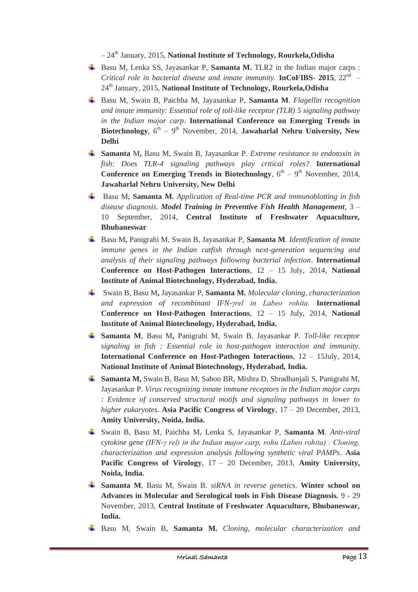– 24th January, 2015, **National Institute of Technology, Rourkela,Odisha**

- $\frac{1}{\text{■}}$  Basu M, Lenka SS, Jayasankar P, **Samanta M.** TLR2 in the Indian major carps : *Critical role in bacterial disease and innate immunity.* **InCoFIBS- 2015**, 22nd – 24th January, 2015, **National Institute of Technology, Rourkela,Odisha**
- Basu M, Swain B, Paichha M, Jayasankar P, **Samanta M**. *Flagellin recognition and innate immunity: Essential role of toll-like receptor (TLR) 5 signaling pathway in the Indian major carp*. **International Conference on Emerging Trends in**  Biotechnology,  $6^{th} - 9^{th}$  November, 2014, **Jawaharlal Nehru University, New Delhi**
- **Samanta** M**,** Basu M, Swain B, Jayasankar P. *Extreme resistance to endotoxin in fish: Does TLR-4 signaling pathways play critical roles?* **International Conference on Emerging Trends in Biotechnology**,  $6^{\text{th}} - 9^{\text{th}}$  November, 2014, **Jawaharlal Nehru University, New Delhi**
- Basu M, **Samanta M.** *Application of Real-time PCR and immunoblotting in fish disease diagnosis*. *Model Training in Preventive Fish Health Management*, 3 – 10 September, 2014, **Central Institute of Freshwater Aquaculture, Bhubaneswar**
- Basu M**,** Panigrahi M, Swain B, Jayasankar P, **Samanta M**. *Identification of innate immune genes in the Indian catfish through next-generation sequencing and analysis of their signaling pathways following bacterial infection*. **International Conference on Host-Pathogen Interactions**, 12 – 15 July, 2014, **National Institute of Animal Biotechnology, Hyderabad, India.**
- Swain B, Basu M**,** Jayasankar P, **Samanta M.** *Molecular cloning, characterization and expression of recombinant IFN-γrel in Labeo rohita.* **International Conference on Host-Pathogen Interactions**, 12 – 15 July, 2014, **National Institute of Animal Biotechnology, Hyderabad, India.**
- **Samanta M**, Basu M**,** Panigrahi M, Swain B, Jayasankar P. *Toll-like receptor signaling in fish : Essential role in host-pathogen interaction and immunity*. **International Conference on Host-Pathogen Interactions**, 12 – 15July, 2014, **National Institute of Animal Biotechnology, Hyderabad, India.**
- **Samanta M,** Swain B, Basu M, Sahoo BR, Mishra D, Shradhanjali S, Panigrahi M, Jayasankar P. *Virus recognizing innate immune receptors in the Indian major carps : Evidence of conserved structural motifs and signaling pathways in lower to higher eukaryotes*. **Asia Pacific Congress of Virology**, 17 – 20 December, 2013, **Amity University, Noida, India.**
- Swain B, Basu M, Paichha M, Lenka S, Jayasankar P, **Samanta M**. *Anti-viral cytokine gene (IFN-γ rel) in the Indian major carp, rohu (Labeo rohita) : Cloning, characterization and expression analysis following synthetic viral PAMPs*. **Asia Pacific Congress of Virology**, 17 – 20 December, 2013, **Amity University, Noida, India.**
- **Samanta M**, Basu M, Swain B. *siRNA in reverse genetics*. **Winter school on Advances in Molecular and Serological tools in Fish Disease Diagnosis.** 9 - 29 November, 2013, **Central Institute of Freshwater Aquaculture, Bhubaneswar, India.**
- Basu M, Swain B, **Samanta M.** *Cloning, molecular characterization and*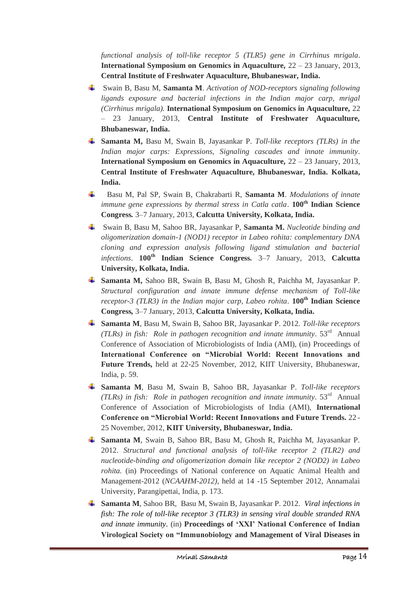*functional analysis of toll-like receptor 5 (TLR5) gene in Cirrhinus mrigala*. **International Symposium on Genomics in Aquaculture,** 22 – 23 January, 2013, **Central Institute of Freshwater Aquaculture, Bhubaneswar, India.**

- Swain B, Basu M, **Samanta M**. *Activation of NOD-receptors signaling following ligands exposure and bacterial infections in the Indian major carp, mrigal (Cirrhinus mrigala).* **International Symposium on Genomics in Aquaculture,** 22 – 23 January, 2013, **Central Institute of Freshwater Aquaculture, Bhubaneswar, India.**
- **Samanta M,** Basu M, Swain B, Jayasankar P. *Toll-like receptors (TLRs) in the Indian major carps: Expressions, Signaling cascades and innate immunity*. **International Symposium on Genomics in Aquaculture,** 22 – 23 January, 2013, **Central Institute of Freshwater Aquaculture, Bhubaneswar, India. Kolkata, India.**
- ÷ Basu M, Pal SP, Swain B, Chakrabarti R, **Samanta M**. *Modulations of innate immune gene expressions by thermal stress in Catla catla*. **100th Indian Science Congress***.* 3–7 January, 2013, **Calcutta University, Kolkata, India.**
- Swain B, Basu M, Sahoo BR, Jayasankar P, **Samanta M.** *Nucleotide binding and oligomerization domain-1 (NOD1) receptor in Labeo rohita: complementary DNA cloning and expression analysis following ligand stimulation and bacterial infections*. **100th Indian Science Congress***.* 3–7 January, 2013, **Calcutta University, Kolkata, India.**
- **Samanta M,** Sahoo BR, Swain B, Basu M, Ghosh R, Paichha M, Jayasankar P. *Structural configuration and innate immune defense mechanism of Toll-like receptor-3 (TLR3) in the Indian major carp, Labeo rohita.* **100th Indian Science Congress***,* 3–7 January, 2013, **Calcutta University, Kolkata, India.**
- **Samanta M**, Basu M, Swain B, Sahoo BR, Jayasankar P. 2012. *Toll-like receptors (TLRs) in fish: Role in pathogen recognition and innate immunity*. 53rd Annual Conference of Association of Microbiologists of India (AMI), (in) Proceedings of **International Conference on "Microbial World: Recent Innovations and Future Trends,** held at 22-25 November, 2012, KIIT University, Bhubaneswar, India, p. 59.
- **Samanta M**, Basu M, Swain B, Sahoo BR, Jayasankar P. *Toll-like receptors (TLRs) in fish: Role in pathogen recognition and innate immunity*. 53rd Annual Conference of Association of Microbiologists of India (AMI), **International Conference on "Microbial World: Recent Innovations and Future Trends.** 22 - 25 November, 2012, **KIIT University, Bhubaneswar, India.**
- **Samanta M**, Swain B, Sahoo BR, Basu M, Ghosh R, Paichha M, Jayasankar P. 2012. *Structural and functional analysis of toll-like receptor 2 (TLR2) and nucleotide-binding and oligomerization domain like receptor 2 (NOD2) in Labeo rohita.* (in) Proceedings of National conference on Aquatic Animal Health and Management-2012 (*NCAAHM-2012),* held at 14 -15 September 2012, Annamalai University, Parangipettai, India, p. 173.
- **Samanta M**, Sahoo BR, Basu M, Swain B, Jayasankar P. 2012. *Viral infections in fish: The role of toll-like receptor 3 (TLR3) in sensing viral double stranded RNA and innate immunity*. (in) **Proceedings of 'XXI' National Conference of Indian Virological Society on "Immunobiology and Management of Viral Diseases in**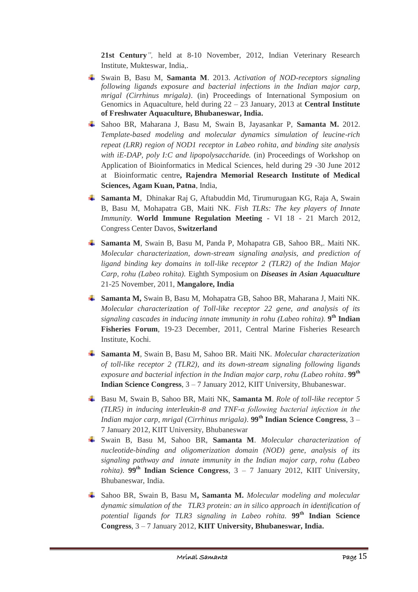**21st Century***",* held at 8-10 November, 2012, Indian Veterinary Research Institute, Mukteswar, India,.

- Swain B, Basu M, **Samanta M**. 2013. *Activation of NOD-receptors signaling following ligands exposure and bacterial infections in the Indian major carp, mrigal (Cirrhinus mrigala)*. (in) Proceedings of International Symposium on Genomics in Aquaculture, held during 22 – 23 January, 2013 at **Central Institute of Freshwater Aquaculture, Bhubaneswar, India.**
- Sahoo BR, Maharana J, Basu M, Swain B, Jayasankar P, **Samanta M.** 2012. *Template-based modeling and molecular dynamics simulation of leucine-rich repeat (LRR) region of NOD1 receptor in Labeo rohita, and binding site analysis with iE-DAP, poly I:C and lipopolysaccharid*e*.* (in) Proceedings of Workshop on Application of Bioinformatics in Medical Sciences, held during 29 -30 June 2012 at Bioinformatic centre**, Rajendra Memorial Research Institute of Medical Sciences, Agam Kuan, Patna**, India,
- **Samanta M**, Dhinakar Raj G, Aftabuddin Md, Tirumurugaan KG, Raja A, Swain B, Basu M, Mohapatra GB, Maiti NK. *Fish TLRs: The key players of Innate Immunity*. **World Immune Regulation Meeting** - VI 18 - 21 March 2012, Congress Center Davos, **Switzerland**
- **Samanta M**, Swain B, Basu M, Panda P, Mohapatra GB, Sahoo BR,. Maiti NK. *Molecular characterization, down-stream signaling analysis, and prediction of ligand binding key domains in toll-like receptor 2 (TLR2) of the Indian Major Carp, rohu (Labeo rohita).* Eighth Symposium on *Diseases in Asian Aquaculture* 21-25 November, 2011, **Mangalore, India**
- **Samanta M,** Swain B, Basu M, Mohapatra GB, Sahoo BR, Maharana J, Maiti NK. *Molecular characterization of Toll-like receptor 22 gene, and analysis of its signaling cascades in inducing innate immunity in rohu (Labeo rohita).* **9 th Indian Fisheries Forum**, 19-23 December, 2011, Central Marine Fisheries Research Institute, Kochi.
- **Samanta M**, Swain B, Basu M, Sahoo BR. Maiti NK. *Molecular characterization of toll-like receptor 2 (TLR2), and its down-stream signaling following ligands exposure and bacterial infection in the Indian major carp, rohu (Labeo rohita*. **99th Indian Science Congress**, 3 – 7 January 2012, KIIT University, Bhubaneswar.
- Basu M, Swain B, Sahoo BR, Maiti NK, **Samanta M**. *Role of toll-like receptor 5 (TLR5) in inducing interleukin-8 and TNF-α following bacterial infection in the Indian major carp, mrigal (Cirrhinus mrigala).* **99th Indian Science Congress**, 3 – 7 January 2012, KIIT University, Bhubaneswar
- Swain B, Basu M, Sahoo BR, **Samanta M**. *Molecular characterization of nucleotide-binding and oligomerization domain (NOD) gene, analysis of its signaling pathway and innate immunity in the Indian major carp, rohu (Labeo rohita*). **99<sup>th</sup> Indian Science Congress**,  $3 - 7$  January 2012, KIIT University, Bhubaneswar, India.
- Sahoo BR, Swain B, Basu M**, Samanta M.** *Molecular modeling and molecular dynamic simulation of the TLR3 protein: an in silico approach in identification of potential ligands for TLR3 signaling in Labeo rohita.* **99th Indian Science Congress**, 3 – 7 January 2012, **KIIT University, Bhubaneswar, India.**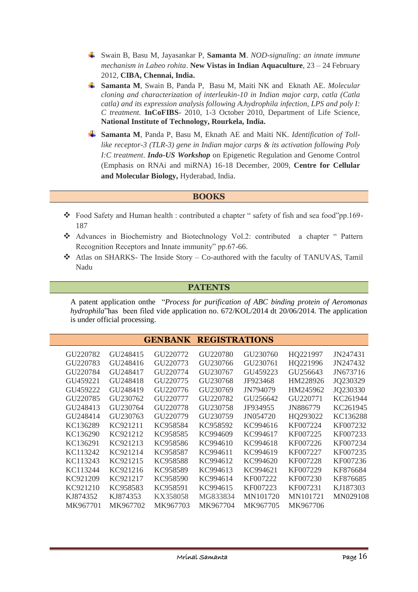- Swain B, Basu M, Jayasankar P, **Samanta M**. *NOD-signaling: an innate immune mechanism in Labeo rohita*. **New Vistas in Indian Aquaculture**, 23 – 24 February 2012, **CIBA, Chennai, India.**
- **Samanta M**, Swain B, Panda P, Basu M, Maiti NK and Eknath AE. *Molecular cloning and characterization of interleukin-10 in Indian major carp, catla (Catla catla) and its expression analysis following A.hydrophila infection, LPS and poly I: C treatment.* **InCoFIBS**- 2010, 1-3 October 2010, Department of Life Science, **National Institute of Technology, Rourkela, India.**
- **Samanta M**, Panda P, Basu M, Eknath AE and Maiti NK. *Identification of Tolllike receptor-3 (TLR-3) gene in Indian major carps & its activation following Poly I:C treatment*. *Indo-US Workshop* on Epigenetic Regulation and Genome Control (Emphasis on RNAi and miRNA) 16-18 December, 2009, **Centre for Cellular and Molecular Biology,** Hyderabad, India.

## **BOOKS**

- \* Food Safety and Human health : contributed a chapter " safety of fish and sea food"pp.169-187
- Advances in Biochemistry and Biotechnology Vol.2: contributed a chapter " Pattern Recognition Receptors and Innate immunity" pp.67-66.
- Atlas on SHARKS- The Inside Story Co-authored with the faculty of TANUVAS, Tamil Nadu

#### **PATENTS**

A patent application onthe "*Process for purification of ABC binding protein of Aeromonas hydrophila*"has been filed vide application no. 672/KOL/2014 dt 20/06/2014. The application is under official processing.

|          |                      | <b>GENBANK</b>       | <b>REGISTRATIONS</b> |          |          |          |
|----------|----------------------|----------------------|----------------------|----------|----------|----------|
| GU220782 | GU248415             | GU220772             | GU220780             | GU230760 | HQ221997 | JN247431 |
| GU220783 | GU248416             | GU220773             | GU230766             | GU230761 | HQ221996 | JN247432 |
| GU220784 | GU248417             | GU220774             | GU230767             | GU459223 | GU256643 | JN673716 |
| GU459221 | GU248418             | GU <sub>220775</sub> | GU230768             | JF923468 | HM228926 | JQ230329 |
| GU459222 | GU248419             | GU220776             | GU230769             | JN794079 | HM245962 | JQ230330 |
| GU220785 | GU230762             | GU <sub>220777</sub> | GU220782             | GU256642 | GU220771 | KC261944 |
| GU248413 | GU230764             | GU220778             | GU230758             | JF934955 | JN886779 | KC261945 |
| GU248414 | GU <sub>230763</sub> | GU <sub>220779</sub> | GU230759             | JN054720 | HQ293022 | KC136288 |
| KC136289 | KC921211             | KC958584             | KC958592             | KC994616 | KF007224 | KF007232 |
| KC136290 | KC921212             | KC958585             | KC994609             | KC994617 | KF007225 | KF007233 |
| KC136291 | KC921213             | KC958586             | KC994610             | KC994618 | KF007226 | KF007234 |
| KC113242 | KC921214             | KC958587             | KC994611             | KC994619 | KF007227 | KF007235 |
| KC113243 | KC921215             | KC958588             | KC994612             | KC994620 | KF007228 | KF007236 |
| KC113244 | KC921216             | KC958589             | KC994613             | KC994621 | KF007229 | KF876684 |
| KC921209 | KC921217             | KC958590             | KC994614             | KF007222 | KF007230 | KF876685 |
| KC921210 | KC958583             | KC958591             | KC994615             | KF007223 | KF007231 | KJ187303 |
| KJ874352 | KJ874353             | KX358058             | MG833834             | MN101720 | MN101721 | MN029108 |
| MK967701 | MK967702             | MK967703             | MK967704             | MK967705 | MK967706 |          |